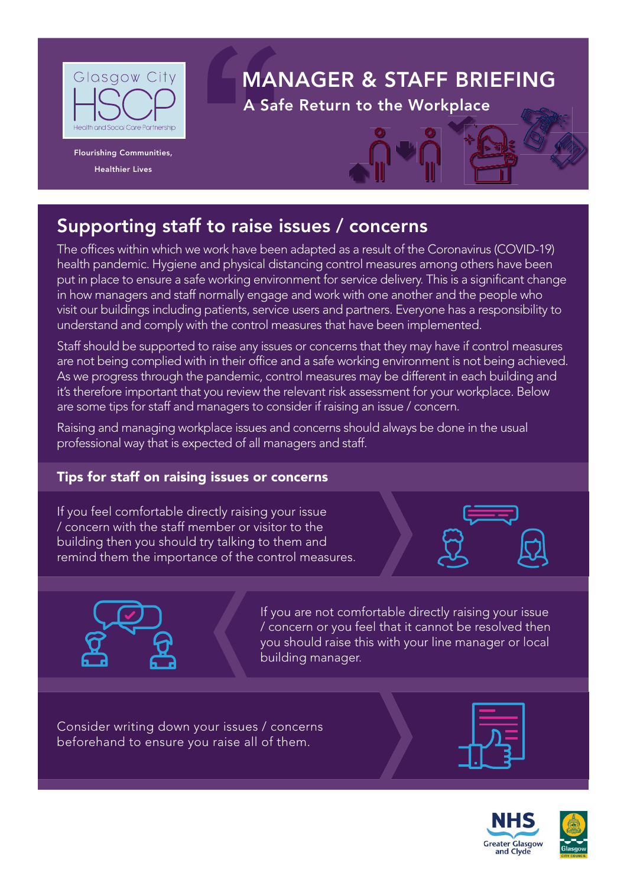

**Flourishing Communities,** 

# **MANAGER & STAFF BRIEFING**

**A Safe Return to the Workplace** 



**The offices within which we work have been adapted as a result of the Coronavirus (COVID-19)** health pandemic. Hygiene and physical distancing control measures among others have been put in place to ensure a safe working environment for service delivery. This is a significant change in how managers and staff normally engage and work with one another and the people who visit our buildings including patients, service users and partners. Everyone has a responsibility to understand and comply with the control measures that have been implemented.

Staff should be supported to raise any issues or concerns that they may have if control measures are not being complied with in their office and a safe working environment is not being achieved. As we progress through the pandemic, control measures may be different in each building and it's therefore important that you review the relevant risk assessment for your workplace. Below are some tips for staff and managers to consider if raising an issue / concern.

Raising and managing workplace issues and concerns should always be done in the usual professional way that is expected of all managers and staff.

## **Tips for staff on raising issues or concerns**

If you feel comfortable directly raising your issue / concern with the staff member or visitor to the building then you should try talking to them and remind them the importance of the control measures.





If you are not comfortable directly raising your issue / concern or you feel that it cannot be resolved then you should raise this with your line manager or local building manager.

Consider writing down your issues / concerns beforehand to ensure you raise all of them.